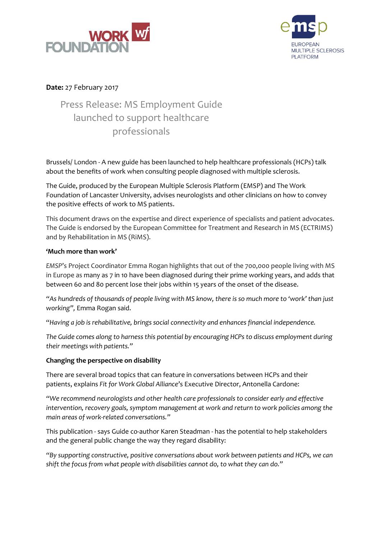



# **Date:** 27 February 2017

# Press Release: MS Employment Guide launched to support healthcare professionals

Brussels/ London - A new guide has been launched to help healthcare professionals (HCPs) talk about the benefits of work when consulting people diagnosed with multiple sclerosis.

The Guide, produced by the European Multiple Sclerosis Platform (EMSP) and The Work Foundation of Lancaster University, advises neurologists and other clinicians on how to convey the positive effects of work to MS patients.

This document draws on the expertise and direct experience of specialists and patient advocates. The Guide is endorsed by the European Committee for Treatment and Research in MS (ECTRIMS) and by Rehabilitation in MS (RiMS).

## **'Much more than work'**

*EMSP*'s Project Coordinator Emma Rogan highlights that out of the 700,000 people living with MS in Europe as many as 7 in 10 have been diagnosed during their prime working years, and adds that between 60 and 80 percent lose their jobs within 15 years of the onset of the disease.

"As hundreds of thousands of people living with MS know, there is so much more to 'work' than just *working",* Emma Rogan said.

"*Having a job is rehabilitative, brings social connectivity and enhances financial independence.*

*The Guide comes along to harness this potential by encouraging HCPs to discuss employment during their meetings with patients."*

## **Changing the perspective on disability**

There are several broad topics that can feature in conversations between HCPs and their patients, explains *Fit for Work Global Alliance*'s Executive Director, Antonella Cardone:

*"We recommend neurologists and other health care professionals to consider early and effective intervention, recovery goals, symptom management at work and return to work policies among the main areas of work-related conversations."*

This publication - says Guide co-author Karen Steadman - has the potential to help stakeholders and the general public change the way they regard disability:

*"By supporting constructive, positive conversations about work between patients and HCPs, we can shift the focus from what people with disabilities cannot do, to what they can do."*